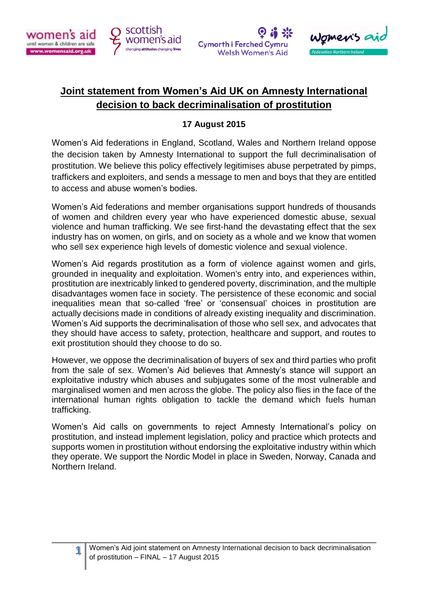

**1**







## **Joint statement from Women's Aid UK on Amnesty International decision to back decriminalisation of prostitution**

## **17 August 2015**

Women's Aid federations in England, Scotland, Wales and Northern Ireland oppose the decision taken by Amnesty International to support the full decriminalisation of prostitution. We believe this policy effectively legitimises abuse perpetrated by pimps, traffickers and exploiters, and sends a message to men and boys that they are entitled to access and abuse women's bodies.

Women's Aid federations and member organisations support hundreds of thousands of women and children every year who have experienced domestic abuse, sexual violence and human trafficking. We see first-hand the devastating effect that the sex industry has on women, on girls, and on society as a whole and we know that women who sell sex experience high levels of domestic violence and sexual violence.

Women's Aid regards prostitution as a form of violence against women and girls, grounded in inequality and exploitation. Women's entry into, and experiences within, prostitution are inextricably linked to gendered poverty, discrimination, and the multiple disadvantages women face in society. The persistence of these economic and social inequalities mean that so-called 'free' or 'consensual' choices in prostitution are actually decisions made in conditions of already existing inequality and discrimination. Women's Aid supports the decriminalisation of those who sell sex, and advocates that they should have access to safety, protection, healthcare and support, and routes to exit prostitution should they choose to do so.

However, we oppose the decriminalisation of buyers of sex and third parties who profit from the sale of sex. Women's Aid believes that Amnesty's stance will support an exploitative industry which abuses and subjugates some of the most vulnerable and marginalised women and men across the globe. The policy also flies in the face of the international human rights obligation to tackle the demand which fuels human trafficking.

Women's Aid calls on governments to reject Amnesty International's policy on prostitution, and instead implement legislation, policy and practice which protects and supports women in prostitution without endorsing the exploitative industry within which they operate. We support the Nordic Model in place in Sweden, Norway, Canada and Northern Ireland.